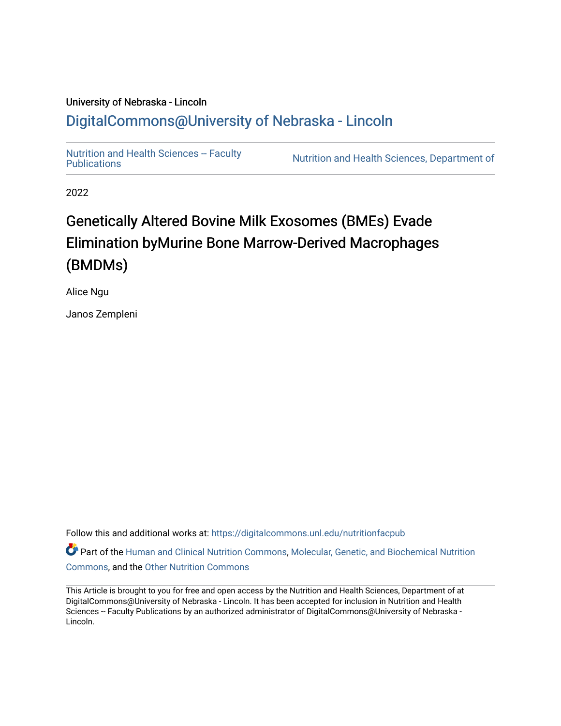## University of Nebraska - Lincoln [DigitalCommons@University of Nebraska - Lincoln](https://digitalcommons.unl.edu/)

Nutrition and Health Sciences -- Faculty<br>Publications

Nutrition and Health Sciences, Department of

2022

## Genetically Altered Bovine Milk Exosomes (BMEs) Evade Elimination byMurine Bone Marrow-Derived Macrophages (BMDMs)

Alice Ngu

Janos Zempleni

Follow this and additional works at: [https://digitalcommons.unl.edu/nutritionfacpub](https://digitalcommons.unl.edu/nutritionfacpub?utm_source=digitalcommons.unl.edu%2Fnutritionfacpub%2F291&utm_medium=PDF&utm_campaign=PDFCoverPages) 

Part of the [Human and Clinical Nutrition Commons](https://network.bepress.com/hgg/discipline/97?utm_source=digitalcommons.unl.edu%2Fnutritionfacpub%2F291&utm_medium=PDF&utm_campaign=PDFCoverPages), Molecular, Genetic, and Biochemical Nutrition [Commons](https://network.bepress.com/hgg/discipline/99?utm_source=digitalcommons.unl.edu%2Fnutritionfacpub%2F291&utm_medium=PDF&utm_campaign=PDFCoverPages), and the [Other Nutrition Commons](https://network.bepress.com/hgg/discipline/101?utm_source=digitalcommons.unl.edu%2Fnutritionfacpub%2F291&utm_medium=PDF&utm_campaign=PDFCoverPages)

This Article is brought to you for free and open access by the Nutrition and Health Sciences, Department of at DigitalCommons@University of Nebraska - Lincoln. It has been accepted for inclusion in Nutrition and Health Sciences -- Faculty Publications by an authorized administrator of DigitalCommons@University of Nebraska -Lincoln.